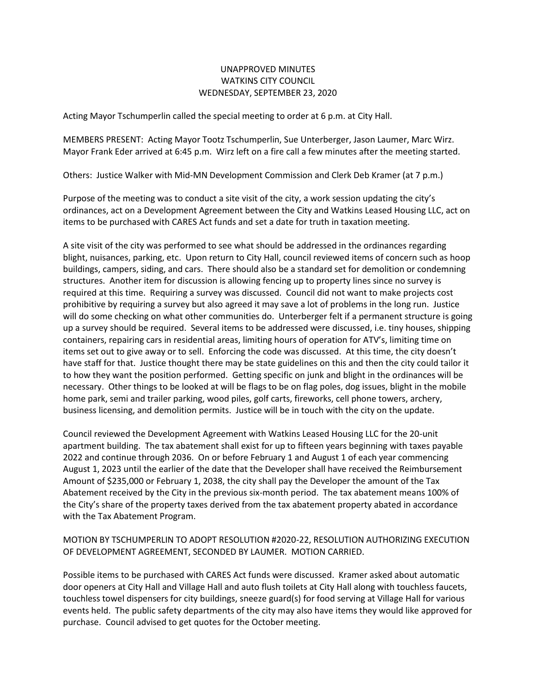## UNAPPROVED MINUTES WATKINS CITY COUNCIL WEDNESDAY, SEPTEMBER 23, 2020

Acting Mayor Tschumperlin called the special meeting to order at 6 p.m. at City Hall.

MEMBERS PRESENT: Acting Mayor Tootz Tschumperlin, Sue Unterberger, Jason Laumer, Marc Wirz. Mayor Frank Eder arrived at 6:45 p.m. Wirz left on a fire call a few minutes after the meeting started.

Others: Justice Walker with Mid-MN Development Commission and Clerk Deb Kramer (at 7 p.m.)

Purpose of the meeting was to conduct a site visit of the city, a work session updating the city's ordinances, act on a Development Agreement between the City and Watkins Leased Housing LLC, act on items to be purchased with CARES Act funds and set a date for truth in taxation meeting.

A site visit of the city was performed to see what should be addressed in the ordinances regarding blight, nuisances, parking, etc. Upon return to City Hall, council reviewed items of concern such as hoop buildings, campers, siding, and cars. There should also be a standard set for demolition or condemning structures. Another item for discussion is allowing fencing up to property lines since no survey is required at this time. Requiring a survey was discussed. Council did not want to make projects cost prohibitive by requiring a survey but also agreed it may save a lot of problems in the long run. Justice will do some checking on what other communities do. Unterberger felt if a permanent structure is going up a survey should be required. Several items to be addressed were discussed, i.e. tiny houses, shipping containers, repairing cars in residential areas, limiting hours of operation for ATV's, limiting time on items set out to give away or to sell. Enforcing the code was discussed. At this time, the city doesn't have staff for that. Justice thought there may be state guidelines on this and then the city could tailor it to how they want the position performed. Getting specific on junk and blight in the ordinances will be necessary. Other things to be looked at will be flags to be on flag poles, dog issues, blight in the mobile home park, semi and trailer parking, wood piles, golf carts, fireworks, cell phone towers, archery, business licensing, and demolition permits. Justice will be in touch with the city on the update.

Council reviewed the Development Agreement with Watkins Leased Housing LLC for the 20-unit apartment building. The tax abatement shall exist for up to fifteen years beginning with taxes payable 2022 and continue through 2036. On or before February 1 and August 1 of each year commencing August 1, 2023 until the earlier of the date that the Developer shall have received the Reimbursement Amount of \$235,000 or February 1, 2038, the city shall pay the Developer the amount of the Tax Abatement received by the City in the previous six-month period. The tax abatement means 100% of the City's share of the property taxes derived from the tax abatement property abated in accordance with the Tax Abatement Program.

## MOTION BY TSCHUMPERLIN TO ADOPT RESOLUTION #2020-22, RESOLUTION AUTHORIZING EXECUTION OF DEVELOPMENT AGREEMENT, SECONDED BY LAUMER. MOTION CARRIED.

Possible items to be purchased with CARES Act funds were discussed. Kramer asked about automatic door openers at City Hall and Village Hall and auto flush toilets at City Hall along with touchless faucets, touchless towel dispensers for city buildings, sneeze guard(s) for food serving at Village Hall for various events held. The public safety departments of the city may also have items they would like approved for purchase. Council advised to get quotes for the October meeting.